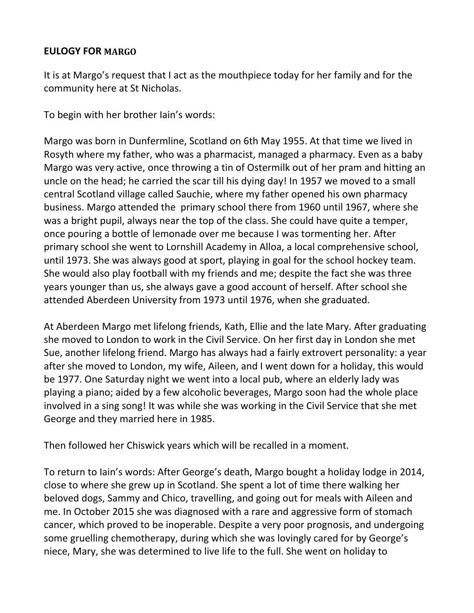## **EULOGY FOR MARGO**

It is at Margo's request that I act as the mouthpiece today for her family and for the community here at St Nicholas.

To begin with her brother Iain's words:

Margo was born in Dunfermline, Scotland on 6th May 1955. At that time we lived in Rosyth where my father, who was a pharmacist, managed a pharmacy. Even as a baby Margo was very active, once throwing a tin of Ostermilk out of her pram and hitting an uncle on the head; he carried the scar till his dying day! In 1957 we moved to a small central Scotland village called Sauchie, where my father opened his own pharmacy business. Margo attended the primary school there from 1960 until 1967, where she was a bright pupil, always near the top of the class. She could have quite a temper, once pouring a bottle of lemonade over me because I was tormenting her. After primary school she went to Lornshill Academy in Alloa, a local comprehensive school, until 1973. She was always good at sport, playing in goal for the school hockey team. She would also play football with my friends and me; despite the fact she was three years younger than us, she always gave a good account of herself. After school she attended Aberdeen University from 1973 until 1976, when she graduated.

At Aberdeen Margo met lifelong friends, Kath, Ellie and the late Mary. After graduating she moved to London to work in the Civil Service. On her first day in London she met Sue, another lifelong friend. Margo has always had a fairly extrovert personality: a year after she moved to London, my wife, Aileen, and I went down for a holiday, this would be 1977. One Saturday night we went into a local pub, where an elderly lady was playing a piano; aided by a few alcoholic beverages, Margo soon had the whole place involved in a sing song! It was while she was working in the Civil Service that she met George and they married here in 1985.

Then followed her Chiswick years which will be recalled in a moment.

To return to Iain's words: After George's death, Margo bought a holiday lodge in 2014, close to where she grew up in Scotland. She spent a lot of time there walking her beloved dogs, Sammy and Chico, travelling, and going out for meals with Aileen and me. In October 2015 she was diagnosed with a rare and aggressive form of stomach cancer, which proved to be inoperable. Despite a very poor prognosis, and undergoing some gruelling chemotherapy, during which she was lovingly cared for by George's niece, Mary, she was determined to live life to the full. She went on holiday to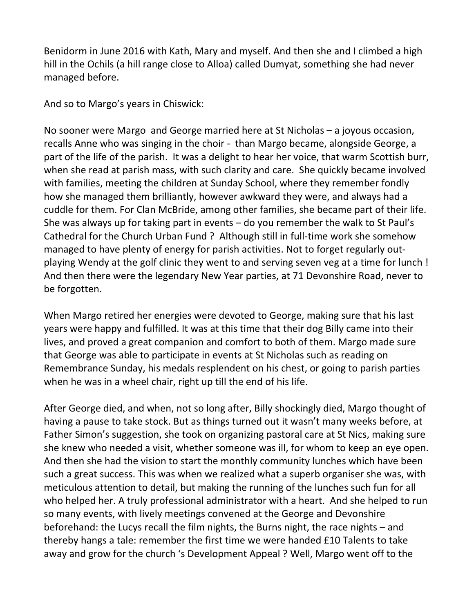Benidorm in June 2016 with Kath, Mary and myself. And then she and I climbed a high hill in the Ochils (a hill range close to Alloa) called Dumyat, something she had never managed before.

And so to Margo's years in Chiswick:

No sooner were Margo and George married here at St Nicholas – a joyous occasion, recalls Anne who was singing in the choir - than Margo became, alongside George, a part of the life of the parish. It was a delight to hear her voice, that warm Scottish burr, when she read at parish mass, with such clarity and care. She quickly became involved with families, meeting the children at Sunday School, where they remember fondly how she managed them brilliantly, however awkward they were, and always had a cuddle for them. For Clan McBride, among other families, she became part of their life. She was always up for taking part in events – do you remember the walk to St Paul's Cathedral for the Church Urban Fund ? Although still in full-time work she somehow managed to have plenty of energy for parish activities. Not to forget regularly outplaying Wendy at the golf clinic they went to and serving seven veg at a time for lunch ! And then there were the legendary New Year parties, at 71 Devonshire Road, never to be forgotten.

When Margo retired her energies were devoted to George, making sure that his last years were happy and fulfilled. It was at this time that their dog Billy came into their lives, and proved a great companion and comfort to both of them. Margo made sure that George was able to participate in events at St Nicholas such as reading on Remembrance Sunday, his medals resplendent on his chest, or going to parish parties when he was in a wheel chair, right up till the end of his life.

After George died, and when, not so long after, Billy shockingly died, Margo thought of having a pause to take stock. But as things turned out it wasn't many weeks before, at Father Simon's suggestion, she took on organizing pastoral care at St Nics, making sure she knew who needed a visit, whether someone was ill, for whom to keep an eye open. And then she had the vision to start the monthly community lunches which have been such a great success. This was when we realized what a superb organiser she was, with meticulous attention to detail, but making the running of the lunches such fun for all who helped her. A truly professional administrator with a heart. And she helped to run so many events, with lively meetings convened at the George and Devonshire beforehand: the Lucys recall the film nights, the Burns night, the race nights – and thereby hangs a tale: remember the first time we were handed £10 Talents to take away and grow for the church 's Development Appeal ? Well, Margo went off to the